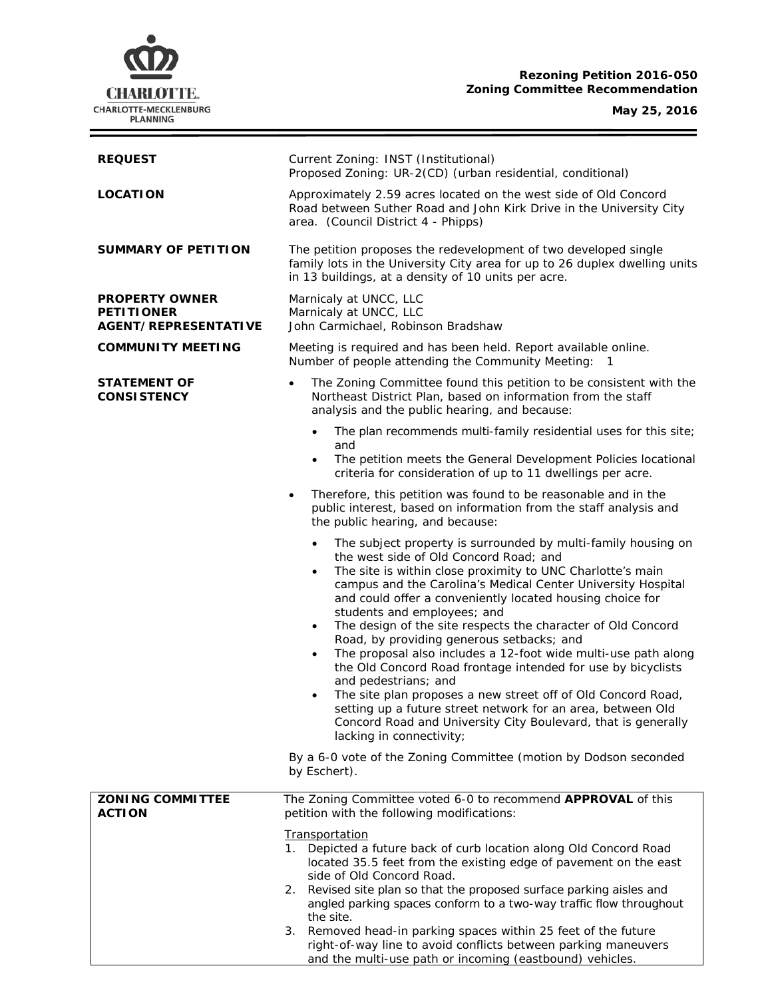## **Rezoning Petition 2016-050** *<u><b>*</u>*<u>endation</u>*

| CHARLOTTE.<br><b>CHARLOTTE-MECKLENBURG</b><br><b>PLANNING</b>             | Rezoning Petition 2016-050<br><b>Zoning Committee Recommendation</b><br>May 25, 2016                                                                                                                                                                                                                                                                                                                                                                                                                                                                                                                                                                                                                                                                                                                                                                                                     |  |  |
|---------------------------------------------------------------------------|------------------------------------------------------------------------------------------------------------------------------------------------------------------------------------------------------------------------------------------------------------------------------------------------------------------------------------------------------------------------------------------------------------------------------------------------------------------------------------------------------------------------------------------------------------------------------------------------------------------------------------------------------------------------------------------------------------------------------------------------------------------------------------------------------------------------------------------------------------------------------------------|--|--|
| <b>REQUEST</b>                                                            | Current Zoning: INST (Institutional)<br>Proposed Zoning: UR-2(CD) (urban residential, conditional)                                                                                                                                                                                                                                                                                                                                                                                                                                                                                                                                                                                                                                                                                                                                                                                       |  |  |
| <b>LOCATION</b>                                                           | Approximately 2.59 acres located on the west side of Old Concord<br>Road between Suther Road and John Kirk Drive in the University City<br>area. (Council District 4 - Phipps)                                                                                                                                                                                                                                                                                                                                                                                                                                                                                                                                                                                                                                                                                                           |  |  |
| <b>SUMMARY OF PETITION</b>                                                | The petition proposes the redevelopment of two developed single<br>family lots in the University City area for up to 26 duplex dwelling units<br>in 13 buildings, at a density of 10 units per acre.                                                                                                                                                                                                                                                                                                                                                                                                                                                                                                                                                                                                                                                                                     |  |  |
| <b>PROPERTY OWNER</b><br><b>PETITIONER</b><br><b>AGENT/REPRESENTATIVE</b> | Marnicaly at UNCC, LLC<br>Marnicaly at UNCC, LLC<br>John Carmichael, Robinson Bradshaw                                                                                                                                                                                                                                                                                                                                                                                                                                                                                                                                                                                                                                                                                                                                                                                                   |  |  |
| <b>COMMUNITY MEETING</b>                                                  | Meeting is required and has been held. Report available online.<br>Number of people attending the Community Meeting:<br>-1                                                                                                                                                                                                                                                                                                                                                                                                                                                                                                                                                                                                                                                                                                                                                               |  |  |
| STATEMENT OF<br><b>CONSISTENCY</b>                                        | The Zoning Committee found this petition to be consistent with the<br>Northeast District Plan, based on information from the staff<br>analysis and the public hearing, and because:                                                                                                                                                                                                                                                                                                                                                                                                                                                                                                                                                                                                                                                                                                      |  |  |
|                                                                           | The plan recommends multi-family residential uses for this site;<br>$\bullet$<br>and<br>The petition meets the General Development Policies locational<br>$\bullet$<br>criteria for consideration of up to 11 dwellings per acre.                                                                                                                                                                                                                                                                                                                                                                                                                                                                                                                                                                                                                                                        |  |  |
|                                                                           | Therefore, this petition was found to be reasonable and in the<br>public interest, based on information from the staff analysis and<br>the public hearing, and because:                                                                                                                                                                                                                                                                                                                                                                                                                                                                                                                                                                                                                                                                                                                  |  |  |
|                                                                           | The subject property is surrounded by multi-family housing on<br>$\bullet$<br>the west side of Old Concord Road; and<br>The site is within close proximity to UNC Charlotte's main<br>campus and the Carolina's Medical Center University Hospital<br>and could offer a conveniently located housing choice for<br>students and employees; and<br>The design of the site respects the character of Old Concord<br>$\bullet$<br>Road, by providing generous setbacks; and<br>The proposal also includes a 12-foot wide multi-use path along<br>$\bullet$<br>the Old Concord Road frontage intended for use by bicyclists<br>and pedestrians; and<br>The site plan proposes a new street off of Old Concord Road,<br>$\bullet$<br>setting up a future street network for an area, between Old<br>Concord Road and University City Boulevard, that is generally<br>lacking in connectivity; |  |  |
|                                                                           | By a 6-0 vote of the Zoning Committee (motion by Dodson seconded<br>by Eschert).                                                                                                                                                                                                                                                                                                                                                                                                                                                                                                                                                                                                                                                                                                                                                                                                         |  |  |
| <b>ZONING COMMITTEE</b><br><b>ACTION</b>                                  | The Zoning Committee voted 6-0 to recommend APPROVAL of this<br>petition with the following modifications:<br><b>Transportation</b><br>1. Depicted a future back of curb location along Old Concord Road<br>located 35.5 feet from the existing edge of pavement on the east<br>side of Old Concord Road.                                                                                                                                                                                                                                                                                                                                                                                                                                                                                                                                                                                |  |  |

- 2. Revised site plan so that the proposed surface parking aisles and angled parking spaces conform to a two-way traffic flow throughout the site.
- 3. Removed head-in parking spaces within 25 feet of the future right-of-way line to avoid conflicts between parking maneuvers and the multi-use path or incoming (eastbound) vehicles.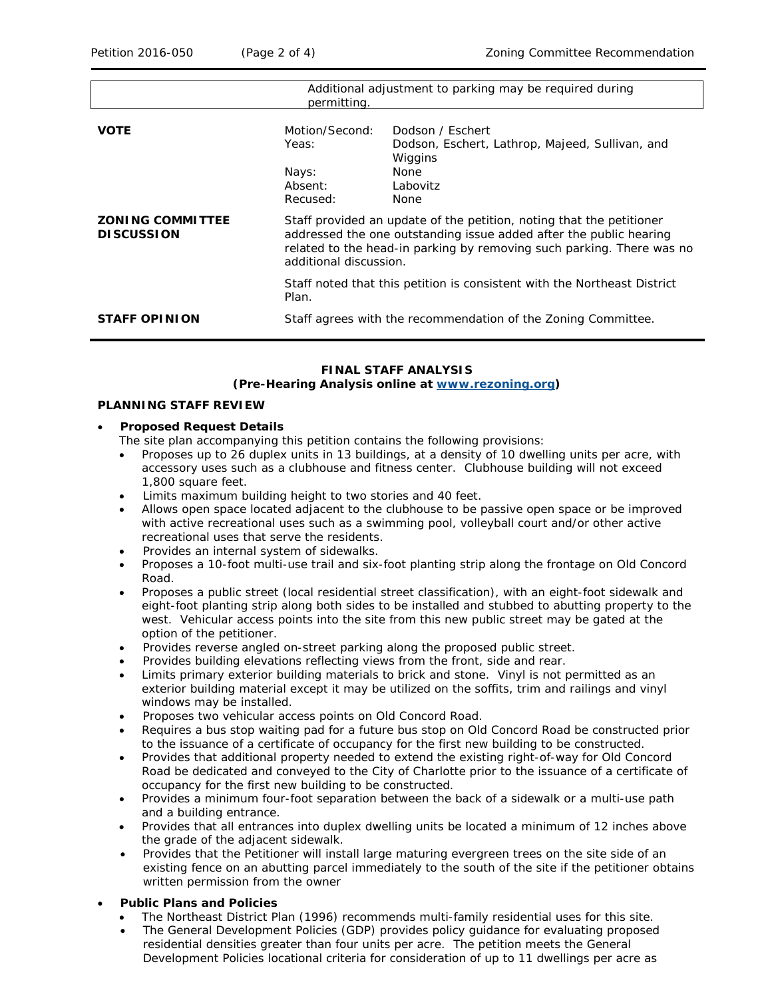| Additional adjustment to parking may be required during<br>permitting. |                                                                                                                                                                                                                                               |                                                                                                                   |  |  |
|------------------------------------------------------------------------|-----------------------------------------------------------------------------------------------------------------------------------------------------------------------------------------------------------------------------------------------|-------------------------------------------------------------------------------------------------------------------|--|--|
| <b>VOTE</b>                                                            | Motion/Second:<br>Yeas:<br>Nays:<br>Absent:<br>Recused:                                                                                                                                                                                       | Dodson / Eschert<br>Dodson, Eschert, Lathrop, Majeed, Sullivan, and<br>Wiggins<br><b>None</b><br>Labovitz<br>None |  |  |
| <b>ZONING COMMITTEE</b><br><b>DISCUSSION</b>                           | Staff provided an update of the petition, noting that the petitioner<br>addressed the one outstanding issue added after the public hearing<br>related to the head-in parking by removing such parking. There was no<br>additional discussion. |                                                                                                                   |  |  |
|                                                                        | Plan.                                                                                                                                                                                                                                         | Staff noted that this petition is consistent with the Northeast District                                          |  |  |
| <b>STAFF OPINION</b>                                                   | Staff agrees with the recommendation of the Zoning Committee.                                                                                                                                                                                 |                                                                                                                   |  |  |

# **FINAL STAFF ANALYSIS**

#### **(Pre-Hearing Analysis online at [www.rezoning.org\)](http://www.rezoning.org/)**

#### **PLANNING STAFF REVIEW**

#### • **Proposed Request Details**

The site plan accompanying this petition contains the following provisions:

- Proposes up to 26 duplex units in 13 buildings, at a density of 10 dwelling units per acre, with accessory uses such as a clubhouse and fitness center. Clubhouse building will not exceed 1,800 square feet.
- Limits maximum building height to two stories and 40 feet.
- Allows open space located adjacent to the clubhouse to be passive open space or be improved with active recreational uses such as a swimming pool, volleyball court and/or other active recreational uses that serve the residents.
- Provides an internal system of sidewalks.
- Proposes a 10-foot multi-use trail and six-foot planting strip along the frontage on Old Concord Road.
- Proposes a public street (local residential street classification), with an eight-foot sidewalk and eight-foot planting strip along both sides to be installed and stubbed to abutting property to the west. Vehicular access points into the site from this new public street may be gated at the option of the petitioner.
- Provides reverse angled on-street parking along the proposed public street.
- Provides building elevations reflecting views from the front, side and rear.
- Limits primary exterior building materials to brick and stone. Vinyl is not permitted as an exterior building material except it may be utilized on the soffits, trim and railings and vinyl windows may be installed.
- Proposes two vehicular access points on Old Concord Road.
- Requires a bus stop waiting pad for a future bus stop on Old Concord Road be constructed prior to the issuance of a certificate of occupancy for the first new building to be constructed.
- Provides that additional property needed to extend the existing right-of-way for Old Concord Road be dedicated and conveyed to the City of Charlotte prior to the issuance of a certificate of occupancy for the first new building to be constructed.
- Provides a minimum four-foot separation between the back of a sidewalk or a multi-use path and a building entrance.
- Provides that all entrances into duplex dwelling units be located a minimum of 12 inches above the grade of the adjacent sidewalk.
- Provides that the Petitioner will install large maturing evergreen trees on the site side of an existing fence on an abutting parcel immediately to the south of the site if the petitioner obtains written permission from the owner

#### • **Public Plans and Policies**

- The *Northeast District Plan* (1996) recommends multi-family residential uses for this site.
- The *General Development Policies* (GDP) provides policy guidance for evaluating proposed residential densities greater than four units per acre. The petition meets the *General Development Policies* locational criteria for consideration of up to 11 dwellings per acre as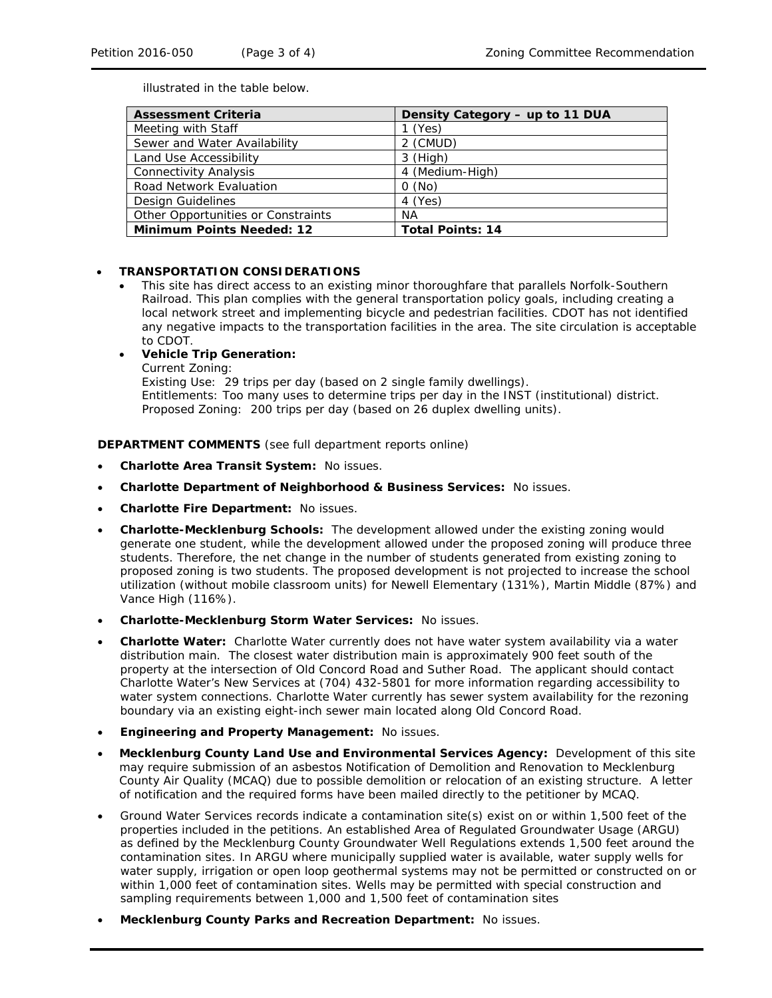illustrated in the table below.

| <b>Assessment Criteria</b>         | Density Category - up to 11 DUA |
|------------------------------------|---------------------------------|
| Meeting with Staff                 | (Yes)                           |
| Sewer and Water Availability       | 2 (CMUD)                        |
| Land Use Accessibility             | $3$ (High)                      |
| <b>Connectivity Analysis</b>       | 4 (Medium-High)                 |
| Road Network Evaluation            | O(No)                           |
| Design Guidelines                  | 4 (Yes)                         |
| Other Opportunities or Constraints | ΝA                              |
| <b>Minimum Points Needed: 12</b>   | <b>Total Points: 14</b>         |

#### • **TRANSPORTATION CONSIDERATIONS**

- This site has direct access to an existing minor thoroughfare that parallels Norfolk-Southern Railroad. This plan complies with the general transportation policy goals, including creating a local network street and implementing bicycle and pedestrian facilities. CDOT has not identified any negative impacts to the transportation facilities in the area. The site circulation is acceptable to CDOT.
	- **Vehicle Trip Generation:** Current Zoning: Existing Use: 29 trips per day (based on 2 single family dwellings). Entitlements: Too many uses to determine trips per day in the INST (institutional) district. Proposed Zoning: 200 trips per day (based on 26 duplex dwelling units).

**DEPARTMENT COMMENTS** (see full department reports online)

- **Charlotte Area Transit System:** No issues.
- **Charlotte Department of Neighborhood & Business Services:** No issues.
- **Charlotte Fire Department:** No issues.
- **Charlotte-Mecklenburg Schools:** The development allowed under the existing zoning would generate one student, while the development allowed under the proposed zoning will produce three students. Therefore, the net change in the number of students generated from existing zoning to proposed zoning is two students. The proposed development is not projected to increase the school utilization (without mobile classroom units) for Newell Elementary (131%), Martin Middle (87%) and Vance High (116%).
- **Charlotte-Mecklenburg Storm Water Services:** No issues.
- **Charlotte Water:** Charlotte Water currently does not have water system availability via a water distribution main. The closest water distribution main is approximately 900 feet south of the property at the intersection of Old Concord Road and Suther Road. The applicant should contact Charlotte Water's New Services at (704) 432-5801 for more information regarding accessibility to water system connections. Charlotte Water currently has sewer system availability for the rezoning boundary via an existing eight-inch sewer main located along Old Concord Road.
- **Engineering and Property Management:** No issues.
- **Mecklenburg County Land Use and Environmental Services Agency:** Development of this site may require submission of an asbestos Notification of Demolition and Renovation to Mecklenburg County Air Quality (MCAQ) due to possible demolition or relocation of an existing structure. A letter of notification and the required forms have been mailed directly to the petitioner by MCAQ.
- Ground Water Services records indicate a contamination site(s) exist on or within 1,500 feet of the properties included in the petitions. An established Area of Regulated Groundwater Usage (ARGU) as defined by the Mecklenburg County Groundwater Well Regulations extends 1,500 feet around the contamination sites. In ARGU where municipally supplied water is available, water supply wells for water supply, irrigation or open loop geothermal systems may not be permitted or constructed on or within 1,000 feet of contamination sites. Wells may be permitted with special construction and sampling requirements between 1,000 and 1,500 feet of contamination sites
- **Mecklenburg County Parks and Recreation Department:** No issues.